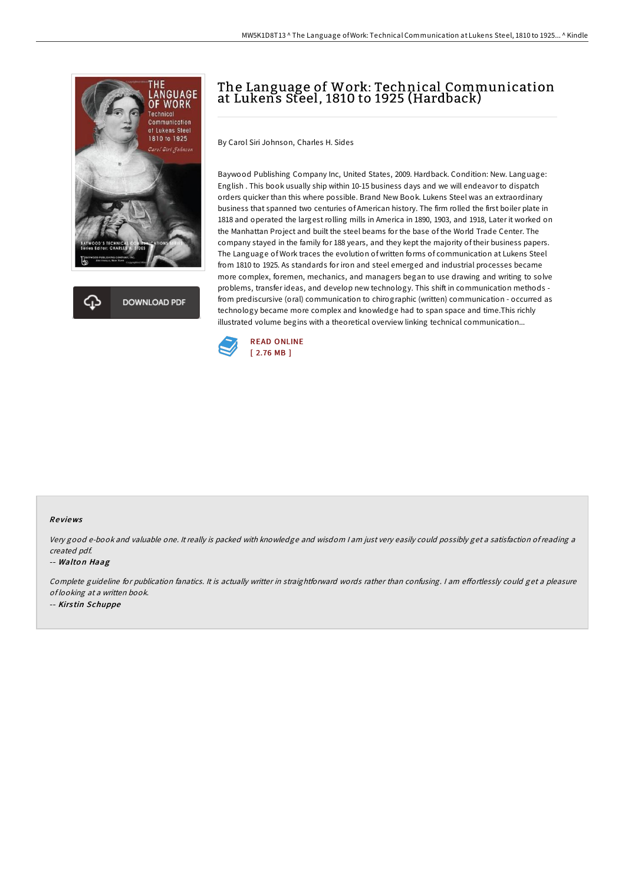



# The Language of Work: Technical Communication at Lukens Steel, 1810 to 1925 (Hardback)

By Carol Siri Johnson, Charles H. Sides

Baywood Publishing Company Inc, United States, 2009. Hardback. Condition: New. Language: English . This book usually ship within 10-15 business days and we will endeavor to dispatch orders quicker than this where possible. Brand New Book. Lukens Steel was an extraordinary business that spanned two centuries of American history. The firm rolled the first boiler plate in 1818 and operated the largest rolling mills in America in 1890, 1903, and 1918, Later it worked on the Manhattan Project and built the steel beams for the base of the World Trade Center. The company stayed in the family for 188 years, and they kept the majority of their business papers. The Language of Work traces the evolution of written forms of communication at Lukens Steel from 1810 to 1925. As standards for iron and steel emerged and industrial processes became more complex, foremen, mechanics, and managers began to use drawing and writing to solve problems, transfer ideas, and develop new technology. This shift in communication methods from prediscursive (oral) communication to chirographic (written) communication - occurred as technology became more complex and knowledge had to span space and time.This richly illustrated volume begins with a theoretical overview linking technical communication...



### Re views

Very good e-book and valuable one. It really is packed with knowledge and wisdom <sup>I</sup> am just very easily could possibly get <sup>a</sup> satisfaction ofreading <sup>a</sup> created pdf.

#### -- Walton Haag

Complete guideline for publication fanatics. It is actually writter in straightforward words rather than confusing. I am effortlessly could get a pleasure of looking at <sup>a</sup> written book. -- Kirs tin Schuppe